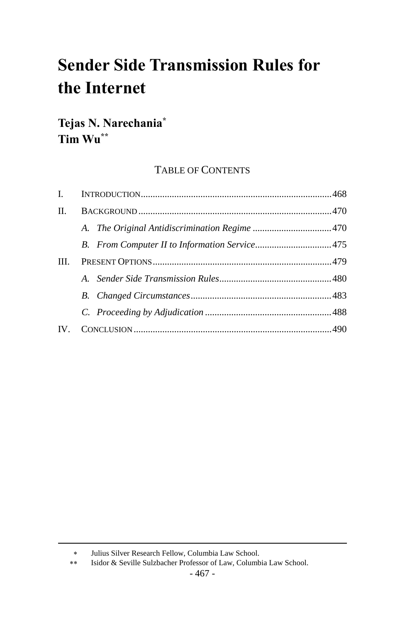# **Sender Side Transmission Rules for the Internet**

## **Tejas N. Narechania\* Tim Wu\*\***

### TABLE OF CONTENTS

| $\mathbf{L}$ |  |
|--------------|--|
| $\Pi$ .      |  |
|              |  |
|              |  |
| III.         |  |
|              |  |
|              |  |
|              |  |
| $IV_{-}$     |  |
|              |  |

Julius Silver Research Fellow, Columbia Law School.

Isidor & Seville Sulzbacher Professor of Law, Columbia Law School.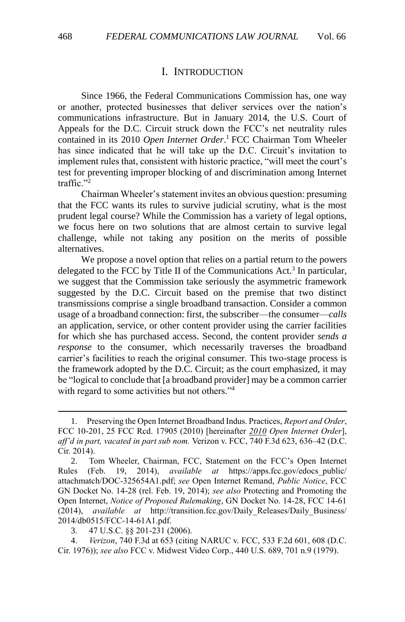#### <span id="page-1-1"></span>I. INTRODUCTION

<span id="page-1-0"></span>Since 1966, the Federal Communications Commission has, one way or another, protected businesses that deliver services over the nation's communications infrastructure. But in January 2014, the U.S. Court of Appeals for the D.C. Circuit struck down the FCC's net neutrality rules contained in its 2010 *Open Internet Order*. <sup>1</sup> FCC Chairman Tom Wheeler has since indicated that he will take up the D.C. Circuit's invitation to implement rules that, consistent with historic practice, "will meet the court's test for preventing improper blocking of and discrimination among Internet traffic."<sup>2</sup>

Chairman Wheeler's statement invites an obvious question: presuming that the FCC wants its rules to survive judicial scrutiny, what is the most prudent legal course? While the Commission has a variety of legal options, we focus here on two solutions that are almost certain to survive legal challenge, while not taking any position on the merits of possible alternatives.

We propose a novel option that relies on a partial return to the powers delegated to the FCC by Title II of the Communications Act.<sup>3</sup> In particular, we suggest that the Commission take seriously the asymmetric framework suggested by the D.C. Circuit based on the premise that two distinct transmissions comprise a single broadband transaction. Consider a common usage of a broadband connection: first, the subscriber—the consumer—*calls* an application, service, or other content provider using the carrier facilities for which she has purchased access. Second, the content provider *sends a response* to the consumer, which necessarily traverses the broadband carrier's facilities to reach the original consumer. This two-stage process is the framework adopted by the D.C. Circuit; as the court emphasized, it may be "logical to conclude that [a broadband provider] may be a common carrier with regard to some activities but not others."<sup>4</sup>

<sup>1.</sup> Preserving the Open Internet Broadband Indus. Practices, *Report and Order*, FCC 10-201, 25 FCC Rcd. 17905 (2010) [hereinafter *2010 Open Internet Order*], *aff'd in part, vacated in part sub nom.* Verizon v. FCC, 740 F.3d 623, 636–42 (D.C. Cir. 2014).

<sup>2.</sup> Tom Wheeler, Chairman, FCC, Statement on the FCC's Open Internet Rules (Feb. 19, 2014), *available at* https://apps.fcc.gov/edocs\_public/ attachmatch/DOC-325654A1.pdf; *see* Open Internet Remand, *Public Notice*, FCC GN Docket No. 14-28 (rel. Feb. 19, 2014); *see also* Protecting and Promoting the Open Internet, *Notice of Proposed Rulemaking*, GN Docket No. 14-28, FCC 14-61 (2014), *available at* http://transition.fcc.gov/Daily\_Releases/Daily\_Business/ 2014/db0515/FCC-14-61A1.pdf.

<sup>3.</sup> 47 U.S.C. §§ 201-231 (2006).

<sup>4.</sup> *Verizon*, 740 F.3d at 653 (citing NARUC v. FCC, 533 F.2d 601, 608 (D.C. Cir. 1976)); *see also* FCC v. Midwest Video Corp., 440 U.S. 689, 701 n.9 (1979).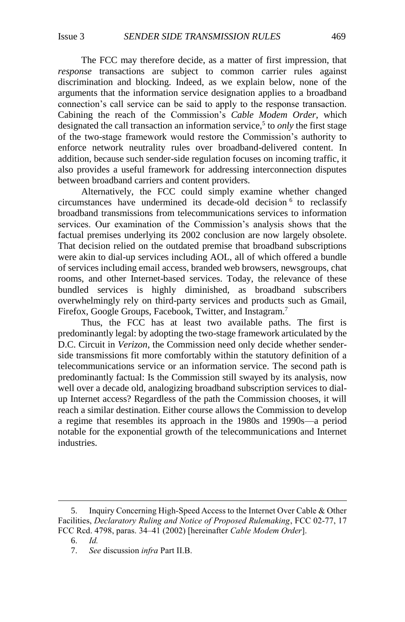<span id="page-2-0"></span>The FCC may therefore decide, as a matter of first impression, that *response* transactions are subject to common carrier rules against discrimination and blocking. Indeed, as we explain below, none of the arguments that the information service designation applies to a broadband connection's call service can be said to apply to the response transaction. Cabining the reach of the Commission's *Cable Modem Order*, which designated the call transaction an information service,<sup>5</sup> to *only* the first stage of the two-stage framework would restore the Commission's authority to enforce network neutrality rules over broadband-delivered content. In addition, because such sender-side regulation focuses on incoming traffic, it also provides a useful framework for addressing interconnection disputes between broadband carriers and content providers.

Alternatively, the FCC could simply examine whether changed circumstances have undermined its decade-old decision <sup>6</sup> to reclassify broadband transmissions from telecommunications services to information services. Our examination of the Commission's analysis shows that the factual premises underlying its 2002 conclusion are now largely obsolete. That decision relied on the outdated premise that broadband subscriptions were akin to dial-up services including AOL, all of which offered a bundle of services including email access, branded web browsers, newsgroups, chat rooms, and other Internet-based services. Today, the relevance of these bundled services is highly diminished, as broadband subscribers overwhelmingly rely on third-party services and products such as Gmail, Firefox, Google Groups, Facebook, Twitter, and Instagram.<sup>7</sup>

Thus, the FCC has at least two available paths. The first is predominantly legal: by adopting the two-stage framework articulated by the D.C. Circuit in *Verizon*, the Commission need only decide whether senderside transmissions fit more comfortably within the statutory definition of a telecommunications service or an information service. The second path is predominantly factual: Is the Commission still swayed by its analysis, now well over a decade old, analogizing broadband subscription services to dialup Internet access? Regardless of the path the Commission chooses, it will reach a similar destination. Either course allows the Commission to develop a regime that resembles its approach in the 1980s and 1990s—a period notable for the exponential growth of the telecommunications and Internet industries.

<sup>5.</sup> Inquiry Concerning High-Speed Access to the Internet Over Cable & Other Facilities, *Declaratory Ruling and Notice of Proposed Rulemaking*, FCC 02-77, 17 FCC Rcd. 4798, paras. 34–41 (2002) [hereinafter *Cable Modem Order*].

<sup>6.</sup> *Id.*

<sup>7.</sup> *See* discussion *infra* Part II.B.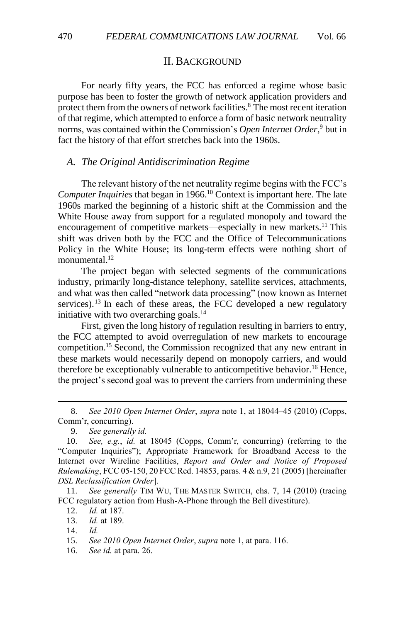#### <span id="page-3-3"></span><span id="page-3-2"></span>II. BACKGROUND

<span id="page-3-0"></span>For nearly fifty years, the FCC has enforced a regime whose basic purpose has been to foster the growth of network application providers and protect them from the owners of network facilities.<sup>8</sup> The most recent iteration of that regime, which attempted to enforce a form of basic network neutrality norms, was contained within the Commission's *Open Internet Order*, <sup>9</sup> but in fact the history of that effort stretches back into the 1960s.

#### <span id="page-3-1"></span>*A. The Original Antidiscrimination Regime*

The relevant history of the net neutrality regime begins with the FCC's *Computer Inquiries* that began in 1966.<sup>10</sup> Context is important here. The late 1960s marked the beginning of a historic shift at the Commission and the White House away from support for a regulated monopoly and toward the encouragement of competitive markets—especially in new markets.<sup>11</sup> This shift was driven both by the FCC and the Office of Telecommunications Policy in the White House; its long-term effects were nothing short of monumental. $12$ 

The project began with selected segments of the communications industry, primarily long-distance telephony, satellite services, attachments, and what was then called "network data processing" (now known as Internet services).<sup>13</sup> In each of these areas, the FCC developed a new regulatory initiative with two overarching goals.<sup>14</sup>

First, given the long history of regulation resulting in barriers to entry, the FCC attempted to avoid overregulation of new markets to encourage competition.<sup>15</sup> Second, the Commission recognized that any new entrant in these markets would necessarily depend on monopoly carriers, and would therefore be exceptionably vulnerable to anticompetitive behavior.<sup>16</sup> Hence, the project's second goal was to prevent the carriers from undermining these

8. *See 2010 Open Internet Order*, *supra* note [1,](#page-1-1) at 18044–45 (2010) (Copps, Comm'r, concurring).

9. *See generally id.*

10. *See, e.g.*, *id.* at 18045 (Copps, Comm'r, concurring) (referring to the "Computer Inquiries"); Appropriate Framework for Broadband Access to the Internet over Wireline Facilities, *Report and Order and Notice of Proposed Rulemaking*, FCC 05-150, 20 FCC Rcd. 14853, paras. 4 & n.9, 21 (2005) [hereinafter *DSL Reclassification Order*].

11. *See generally* TIM WU, THE MASTER SWITCH, chs. 7, 14 (2010) (tracing FCC regulatory action from Hush-A-Phone through the Bell divestiture).

12. *Id.* at 187.

13. *Id.* at 189.

14. *Id.*

 $\overline{a}$ 

15. *See 2010 Open Internet Order*, *supra* note [1,](#page-1-1) at para. 116.

16. *See id.* at para. 26.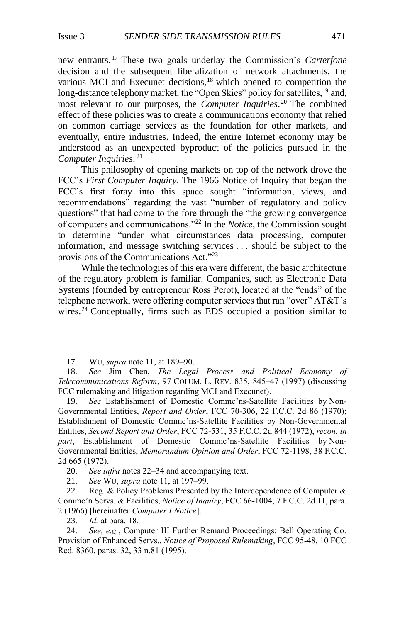new entrants. <sup>17</sup> These two goals underlay the Commission's *Carterfone*  decision and the subsequent liberalization of network attachments, the various MCI and Execunet decisions,<sup>18</sup> which opened to competition the long-distance telephony market, the "Open Skies" policy for satellites, <sup>19</sup> and, most relevant to our purposes, the *Computer Inquiries*. <sup>20</sup> The combined effect of these policies was to create a communications economy that relied on common carriage services as the foundation for other markets, and eventually, entire industries. Indeed, the entire Internet economy may be understood as an unexpected byproduct of the policies pursued in the *Computer Inquiries*. 21

This philosophy of opening markets on top of the network drove the FCC's *First Computer Inquiry*. The 1966 Notice of Inquiry that began the FCC's first foray into this space sought "information, views, and recommendations" regarding the vast "number of regulatory and policy questions" that had come to the fore through the "the growing convergence of computers and communications."<sup>22</sup> In the *Notice*, the Commission sought to determine "under what circumstances data processing, computer information, and message switching services . . . should be subject to the provisions of the Communications Act."<sup>23</sup>

<span id="page-4-0"></span>While the technologies of this era were different, the basic architecture of the regulatory problem is familiar. Companies, such as Electronic Data Systems (founded by entrepreneur Ross Perot), located at the "ends" of the telephone network, were offering computer services that ran "over" AT&T's wires.<sup>24</sup> Conceptually, firms such as EDS occupied a position similar to

 $\overline{a}$ 

23. *Id.* at para. 18.

<sup>17.</sup> WU, *supra* note [11,](#page-3-2) at 189–90.

<sup>18.</sup> *See* Jim Chen, *The Legal Process and Political Economy of Telecommunications Reform*, 97 COLUM. L. REV. 835, 845–47 (1997) (discussing FCC rulemaking and litigation regarding MCI and Execunet).

<sup>19.</sup> *See* Establishment of Domestic Commc'ns-Satellite Facilities by Non-Governmental Entities, *Report and Order*, FCC 70-306, 22 F.C.C. 2d 86 (1970); Establishment of Domestic Commc'ns-Satellite Facilities by Non-Governmental Entities, *Second Report and Order*, FCC 72-531, 35 F.C.C. 2d 844 (1972), *recon. in part*, Establishment of Domestic Commc'ns-Satellite Facilities by Non-Governmental Entities, *Memorandum Opinion and Order*, FCC 72-1198, 38 F.C.C. 2d 665 (1972).

<sup>20.</sup> *See infra* notes [22–](#page-4-0)[34](#page-6-0) and accompanying text.

<sup>21.</sup> *See* WU, *supra* not[e 11,](#page-3-2) at 197–99.

<sup>22.</sup> Reg. & Policy Problems Presented by the Interdependence of Computer  $\&$ Commc'n Servs. & Facilities, *Notice of Inquiry*, FCC 66-1004, 7 F.C.C. 2d 11, para. 2 (1966) [hereinafter *Computer I Notice*].

<sup>24.</sup> *See, e.g.*, Computer III Further Remand Proceedings: Bell Operating Co. Provision of Enhanced Servs., *Notice of Proposed Rulemaking*, FCC 95-48, 10 FCC Rcd. 8360, paras. 32, 33 n.81 (1995).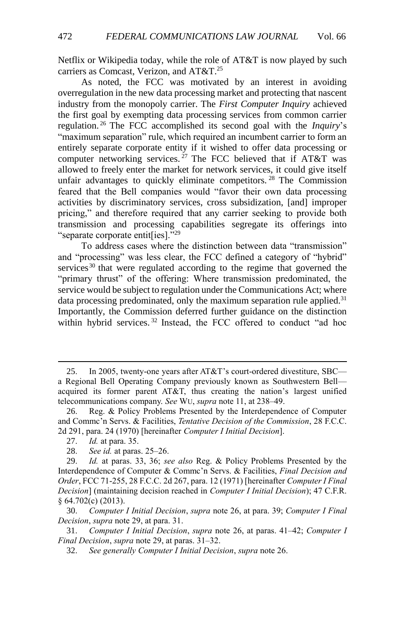Netflix or Wikipedia today, while the role of AT&T is now played by such carriers as Comcast, Verizon, and AT&T.<sup>25</sup>

<span id="page-5-0"></span>As noted, the FCC was motivated by an interest in avoiding overregulation in the new data processing market and protecting that nascent industry from the monopoly carrier. The *First Computer Inquiry* achieved the first goal by exempting data processing services from common carrier regulation. <sup>26</sup> The FCC accomplished its second goal with the *Inquiry*'s "maximum separation" rule, which required an incumbent carrier to form an entirely separate corporate entity if it wished to offer data processing or computer networking services.<sup>27</sup> The FCC believed that if AT&T was allowed to freely enter the market for network services, it could give itself unfair advantages to quickly eliminate competitors.<sup>28</sup> The Commission feared that the Bell companies would "favor their own data processing activities by discriminatory services, cross subsidization, [and] improper pricing," and therefore required that any carrier seeking to provide both transmission and processing capabilities segregate its offerings into "separate corporate entit[ies]."<sup>29</sup>

<span id="page-5-1"></span>To address cases where the distinction between data "transmission" and "processing" was less clear, the FCC defined a category of "hybrid" services<sup>30</sup> that were regulated according to the regime that governed the "primary thrust" of the offering: Where transmission predominated, the service would be subject to regulation under the Communications Act; where data processing predominated, only the maximum separation rule applied. $31$ Importantly, the Commission deferred further guidance on the distinction within hybrid services.<sup>32</sup> Instead, the FCC offered to conduct "ad hoc

<sup>25.</sup> In 2005, twenty-one years after AT&T's court-ordered divestiture, SBC a Regional Bell Operating Company previously known as Southwestern Bell acquired its former parent AT&T, thus creating the nation's largest unified telecommunications company. *See* WU, *supra* not[e 11,](#page-3-2) at 238–49.

<sup>26.</sup> Reg. & Policy Problems Presented by the Interdependence of Computer and Commc'n Servs. & Facilities, *Tentative Decision of the Commission*, 28 F.C.C. 2d 291, para. 24 (1970) [hereinafter *Computer I Initial Decision*].

<sup>27.</sup> *Id.* at para. 35.

<sup>28.</sup> *See id.* at paras. 25–26.

<sup>29.</sup> *Id.* at paras. 33, 36; *see also* Reg. & Policy Problems Presented by the Interdependence of Computer & Commc'n Servs. & Facilities, *Final Decision and Order*, FCC 71-255, 28 F.C.C. 2d 267, para. 12 (1971) [hereinafter *Computer I Final Decision*] (maintaining decision reached in *Computer I Initial Decision*); 47 C.F.R. § 64.702(c) (2013).

<sup>30.</sup> *Computer I Initial Decision*, *supra* note [26,](#page-5-0) at para. 39; *Computer I Final Decision*, *supra* not[e 29,](#page-5-1) at para. 31.

<sup>31.</sup> *Computer I Initial Decision*, *supra* note [26,](#page-5-0) at paras. 41–42; *Computer I Final Decision*, *supra* not[e 29,](#page-5-1) at paras. 31–32.

<sup>32.</sup> *See generally Computer I Initial Decision*, *supra* not[e 26.](#page-5-0)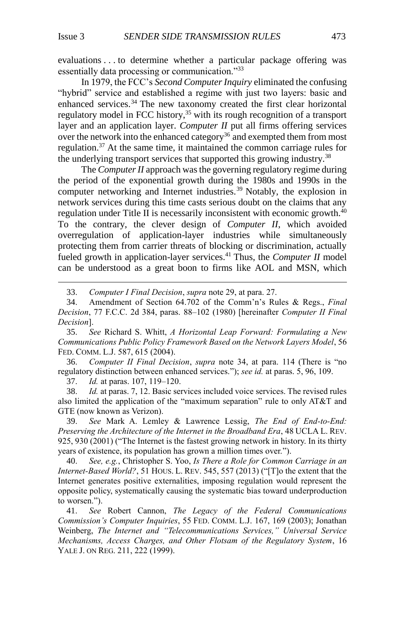$\overline{a}$ 

evaluations . . . to determine whether a particular package offering was essentially data processing or communication."<sup>33</sup>

<span id="page-6-0"></span>In 1979, the FCC's *Second Computer Inquiry* eliminated the confusing "hybrid" service and established a regime with just two layers: basic and enhanced services.<sup>34</sup> The new taxonomy created the first clear horizontal regulatory model in FCC history,<sup>35</sup> with its rough recognition of a transport layer and an application layer. *Computer II* put all firms offering services over the network into the enhanced category<sup>36</sup> and exempted them from most regulation.<sup>37</sup> At the same time, it maintained the common carriage rules for the underlying transport services that supported this growing industry.<sup>38</sup>

<span id="page-6-1"></span>The *Computer II* approach was the governing regulatory regime during the period of the exponential growth during the 1980s and 1990s in the computer networking and Internet industries. <sup>39</sup> Notably, the explosion in network services during this time casts serious doubt on the claims that any regulation under Title II is necessarily inconsistent with economic growth. $40$ To the contrary, the clever design of *Computer II*, which avoided overregulation of application-layer industries while simultaneously protecting them from carrier threats of blocking or discrimination, actually fueled growth in application-layer services.<sup>41</sup> Thus, the *Computer II* model can be understood as a great boon to firms like AOL and MSN, which

<span id="page-6-3"></span><span id="page-6-2"></span>33. *Computer I Final Decision*, *supra* note [29,](#page-5-1) at para. 27.

35. *See* Richard S. Whitt, *A Horizontal Leap Forward: Formulating a New Communications Public Policy Framework Based on the Network Layers Model*, 56 FED. COMM. L.J. 587, 615 (2004).

36. *Computer II Final Decision*, *supra* note [34,](#page-6-0) at para. 114 (There is "no regulatory distinction between enhanced services."); *see id.* at paras. 5, 96, 109.

37. *Id.* at paras. 107, 119–120.

38. *Id.* at paras. 7, 12. Basic services included voice services. The revised rules also limited the application of the "maximum separation" rule to only AT&T and GTE (now known as Verizon).

39. *See* Mark A. Lemley & Lawrence Lessig, *The End of End-to-End: Preserving the Architecture of the Internet in the Broadband Era*, 48 UCLA L. REV. 925, 930 (2001) ("The Internet is the fastest growing network in history. In its thirty years of existence, its population has grown a million times over.").

40. *See, e.g.*, Christopher S. Yoo, *Is There a Role for Common Carriage in an Internet-Based World?*, 51 HOUS. L. REV. 545, 557 (2013) ("[T]o the extent that the Internet generates positive externalities, imposing regulation would represent the opposite policy, systematically causing the systematic bias toward underproduction to worsen.").

41. *See* Robert Cannon, *The Legacy of the Federal Communications Commission's Computer Inquiries*, 55 FED. COMM. L.J. 167, 169 (2003); Jonathan Weinberg, *The Internet and "Telecommunications Services," Universal Service Mechanisms, Access Charges, and Other Flotsam of the Regulatory System*, 16 YALE J. ON REG. 211, 222 (1999).

<sup>34.</sup> Amendment of Section 64.702 of the Comm'n's Rules & Regs., *Final Decision*, 77 F.C.C. 2d 384, paras. 88–102 (1980) [hereinafter *Computer II Final Decision*].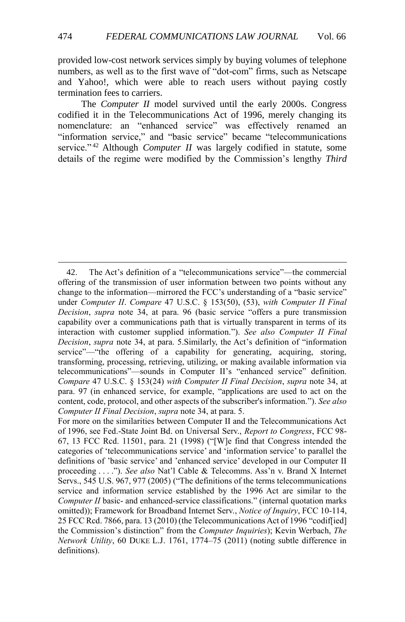provided low-cost network services simply by buying volumes of telephone numbers, as well as to the first wave of "dot-com" firms, such as Netscape and Yahoo!, which were able to reach users without paying costly termination fees to carriers.

The *Computer II* model survived until the early 2000s. Congress codified it in the Telecommunications Act of 1996, merely changing its nomenclature: an "enhanced service" was effectively renamed an "information service," and "basic service" became "telecommunications service."<sup>42</sup> Although *Computer II* was largely codified in statute, some details of the regime were modified by the Commission's lengthy *Third* 

<sup>42.</sup> The Act's definition of a "telecommunications service"—the commercial offering of the transmission of user information between two points without any change to the information—mirrored the FCC's understanding of a "basic service" under *Computer II*. *Compare* 47 U.S.C. § 153(50), (53), *with Computer II Final Decision*, *supra* note [34,](#page-6-0) at para. 96 (basic service "offers a pure transmission capability over a communications path that is virtually transparent in terms of its interaction with customer supplied information."). *See also Computer II Final Decision*, *supra* note [34,](#page-6-0) at para. 5.Similarly, the Act's definition of "information service"—"the offering of a capability for generating, acquiring, storing, transforming, processing, retrieving, utilizing, or making available information via telecommunications"—sounds in Computer II's "enhanced service" definition. *Compare* 47 U.S.C. § 153(24) *with Computer II Final Decision*, *supra* note [34,](#page-6-0) at para. 97 (in enhanced service, for example, "applications are used to act on the content, code, protocol, and other aspects of the subscriber's information."). *See also Computer II Final Decision*, *supra* note [34,](#page-6-0) at para. 5.

For more on the similarities between Computer II and the Telecommunications Act of 1996, see Fed.-State Joint Bd. on Universal Serv., *Report to Congress*, FCC 98- 67, 13 FCC Rcd. 11501, para. 21 (1998) ("[W]e find that Congress intended the categories of 'telecommunications service' and 'information service' to parallel the definitions of 'basic service' and 'enhanced service' developed in our Computer II proceeding . . . ."). *See also* Nat'l Cable & Telecomms. Ass'n v. Brand X Internet Servs., 545 U.S. 967, 977 (2005) ("The definitions of the terms telecommunications service and information service established by the 1996 Act are similar to the *Computer II* basic- and enhanced-service classifications." (internal quotation marks omitted)); Framework for Broadband Internet Serv., *Notice of Inquiry*, FCC 10-114, 25 FCC Rcd. 7866, para. 13 (2010) (the Telecommunications Act of 1996 "codif[ied] the Commission's distinction" from the *Computer Inquiries*); Kevin Werbach, *The Network Utility*, 60 DUKE L.J. 1761, 1774–75 (2011) (noting subtle difference in definitions).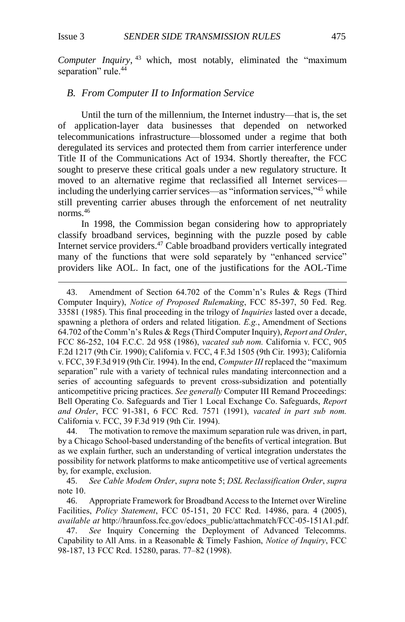$\overline{a}$ 

*Computer Inquiry*, <sup>43</sup> which, most notably, eliminated the "maximum separation" rule.<sup>44</sup>

#### <span id="page-8-0"></span>*B. From Computer II to Information Service*

Until the turn of the millennium, the Internet industry—that is, the set of application-layer data businesses that depended on networked telecommunications infrastructure—blossomed under a regime that both deregulated its services and protected them from carrier interference under Title II of the Communications Act of 1934. Shortly thereafter, the FCC sought to preserve these critical goals under a new regulatory structure. It moved to an alternative regime that reclassified all Internet services including the underlying carrier services—as "information services,"<sup>45</sup> while still preventing carrier abuses through the enforcement of net neutrality norms.<sup>46</sup>

In 1998, the Commission began considering how to appropriately classify broadband services, beginning with the puzzle posed by cable Internet service providers.<sup>47</sup> Cable broadband providers vertically integrated many of the functions that were sold separately by "enhanced service" providers like AOL. In fact, one of the justifications for the AOL-Time

44. The motivation to remove the maximum separation rule was driven, in part, by a Chicago School-based understanding of the benefits of vertical integration. But as we explain further, such an understanding of vertical integration understates the possibility for network platforms to make anticompetitive use of vertical agreements by, for example, exclusion.

45. *See Cable Modem Order*, *supra* note [5;](#page-2-0) *DSL Reclassification Order*, *supra*  not[e 10.](#page-3-3)

46. Appropriate Framework for Broadband Access to the Internet over Wireline Facilities, *Policy Statement*, FCC 05-151, 20 FCC Rcd. 14986, para. 4 (2005), *available at* http://hraunfoss.fcc.gov/edocs\_public/attachmatch/FCC-05-151A1.pdf.

47. *See* Inquiry Concerning the Deployment of Advanced Telecomms. Capability to All Ams. in a Reasonable & Timely Fashion, *Notice of Inquiry*, FCC 98-187, 13 FCC Rcd. 15280, paras. 77–82 (1998).

<sup>43.</sup> Amendment of Section 64.702 of the Comm'n's Rules & Regs (Third Computer Inquiry), *Notice of Proposed Rulemaking*, FCC 85-397, 50 Fed. Reg. 33581 (1985). This final proceeding in the trilogy of *Inquiries* lasted over a decade, spawning a plethora of orders and related litigation. *E.g.*, Amendment of Sections 64.702 of the Comm'n's Rules & Regs (Third Computer Inquiry), *Report and Order*, FCC 86-252, 104 F.C.C. 2d 958 (1986), *vacated sub nom.* California v. FCC, 905 F.2d 1217 (9th Cir. 1990); California v. FCC, 4 F.3d 1505 (9th Cir. 1993); California v. FCC, 39 F.3d 919 (9th Cir. 1994). In the end, *Computer III* replaced the "maximum separation" rule with a variety of technical rules mandating interconnection and a series of accounting safeguards to prevent cross-subsidization and potentially anticompetitive pricing practices. *See generally* Computer III Remand Proceedings: Bell Operating Co. Safeguards and Tier 1 Local Exchange Co. Safeguards, *Report and Order*, FCC 91-381, 6 FCC Rcd. 7571 (1991), *vacated in part sub nom.* California v. FCC, 39 F.3d 919 (9th Cir. 1994).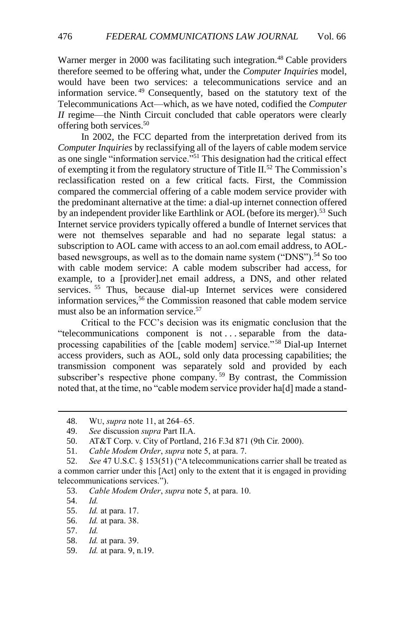Warner merger in 2000 was facilitating such integration.<sup>48</sup> Cable providers therefore seemed to be offering what, under the *Computer Inquiries* model, would have been two services: a telecommunications service and an information service. <sup>49</sup> Consequently, based on the statutory text of the Telecommunications Act—which, as we have noted, codified the *Computer II* regime—the Ninth Circuit concluded that cable operators were clearly offering both services.<sup>50</sup>

In 2002, the FCC departed from the interpretation derived from its *Computer Inquiries* by reclassifying all of the layers of cable modem service as one single "information service."<sup>51</sup> This designation had the critical effect of exempting it from the regulatory structure of Title II.<sup>52</sup> The Commission's reclassification rested on a few critical facts. First, the Commission compared the commercial offering of a cable modem service provider with the predominant alternative at the time: a dial-up internet connection offered by an independent provider like Earthlink or AOL (before its merger).<sup>53</sup> Such Internet service providers typically offered a bundle of Internet services that were not themselves separable and had no separate legal status: a subscription to AOL came with access to an aol.com email address, to AOLbased newsgroups, as well as to the domain name system ("DNS").<sup>54</sup> So too with cable modem service: A cable modem subscriber had access, for example, to a [provider].net email address, a DNS, and other related services. <sup>55</sup> Thus, because dial-up Internet services were considered information services,<sup>56</sup> the Commission reasoned that cable modem service must also be an information service.<sup>57</sup>

Critical to the FCC's decision was its enigmatic conclusion that the "telecommunications component is not . . . separable from the dataprocessing capabilities of the [cable modem] service." <sup>58</sup> Dial-up Internet access providers, such as AOL, sold only data processing capabilities; the transmission component was separately sold and provided by each subscriber's respective phone company.<sup>59</sup> By contrast, the Commission noted that, at the time, no "cable modem service provider ha[d] made a stand-

54. *Id.*

<sup>48.</sup> WU, *supra* note [11,](#page-3-2) at 264–65.

<sup>49.</sup> *See* discussion *supra* Part II.A.

<sup>50.</sup> AT&T Corp. v. City of Portland, 216 F.3d 871 (9th Cir. 2000).

<sup>51.</sup> *Cable Modem Order*, *supra* note [5,](#page-2-0) at para. 7.

<sup>52.</sup> *See* 47 U.S.C. § 153(51) ("A telecommunications carrier shall be treated as a common carrier under this [Act] only to the extent that it is engaged in providing telecommunications services.").

<sup>53.</sup> *Cable Modem Order*, *supra* note [5,](#page-2-0) at para. 10.

<sup>55.</sup> *Id.* at para. 17.

<sup>56.</sup> *Id.* at para. 38.

<sup>57.</sup> *Id.*

<sup>58.</sup> *Id.* at para. 39.

<sup>59.</sup> *Id.* at para. 9, n.19.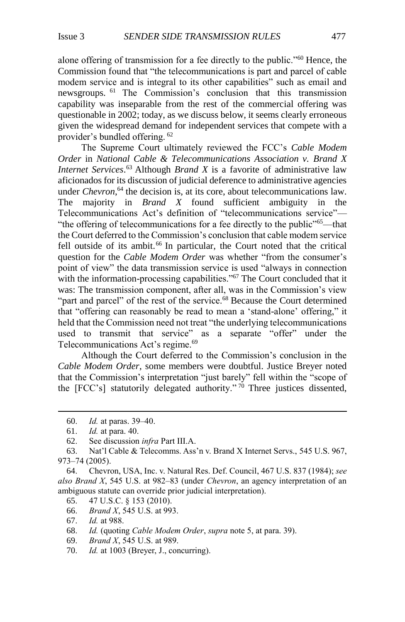alone offering of transmission for a fee directly to the public."<sup>60</sup> Hence, the Commission found that "the telecommunications is part and parcel of cable modem service and is integral to its other capabilities" such as email and newsgroups. <sup>61</sup> The Commission's conclusion that this transmission capability was inseparable from the rest of the commercial offering was questionable in 2002; today, as we discuss below, it seems clearly erroneous given the widespread demand for independent services that compete with a provider's bundled offering. <sup>62</sup>

The Supreme Court ultimately reviewed the FCC's *Cable Modem Order* in *National Cable & Telecommunications Association v. Brand X Internet Services*. <sup>63</sup> Although *Brand X* is a favorite of administrative law aficionados for its discussion of judicial deference to administrative agencies under *Chevron*, <sup>64</sup> the decision is, at its core, about telecommunications law. The majority in *Brand X* found sufficient ambiguity in the Telecommunications Act's definition of "telecommunications service"— "the offering of telecommunications for a fee directly to the public"<sup>65</sup>—that the Court deferred to the Commission's conclusion that cable modem service fell outside of its ambit.<sup>66</sup> In particular, the Court noted that the critical question for the *Cable Modem Order* was whether "from the consumer's point of view" the data transmission service is used "always in connection with the information-processing capabilities."<sup>67</sup> The Court concluded that it was: The transmission component, after all, was in the Commission's view "part and parcel" of the rest of the service.<sup>68</sup> Because the Court determined that "offering can reasonably be read to mean a 'stand-alone' offering," it held that the Commission need not treat "the underlying telecommunications used to transmit that service" as a separate "offer" under the Telecommunications Act's regime.<sup>69</sup>

Although the Court deferred to the Commission's conclusion in the *Cable Modem Order*, some members were doubtful. Justice Breyer noted that the Commission's interpretation "just barely" fell within the "scope of the [FCC's] statutorily delegated authority."<sup>70</sup> Three justices dissented,

- 65. 47 U.S.C. § 153 (2010).
- 66. *Brand X*, 545 U.S. at 993.
- 67. *Id.* at 988.
- 68. *Id.* (quoting *Cable Modem Order*, *supra* not[e 5,](#page-2-0) at para. 39).
- 69. *Brand X*, 545 U.S. at 989.
- 70. *Id.* at 1003 (Breyer, J., concurring).

<sup>60.</sup> *Id.* at paras. 39–40.

<sup>61.</sup> *Id.* at para. 40.

<sup>62.</sup> See discussion *infra* Part III.A.

<sup>63.</sup> Nat'l Cable & Telecomms. Ass'n v. Brand X Internet Servs., 545 U.S. 967, 973–74 (2005).

<sup>64.</sup> Chevron, USA, Inc. v. Natural Res. Def. Council, 467 U.S. 837 (1984); *see also Brand X*, 545 U.S. at 982–83 (under *Chevron*, an agency interpretation of an ambiguous statute can override prior judicial interpretation).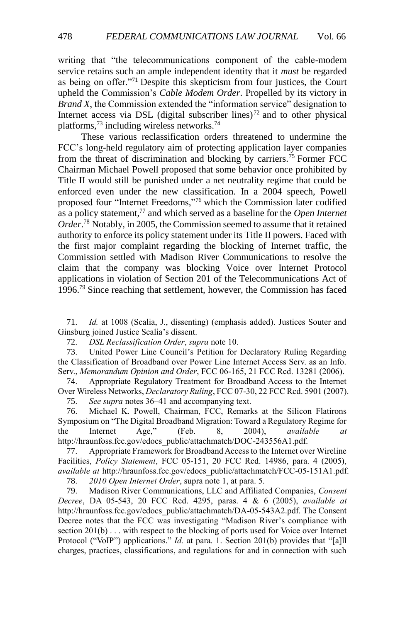writing that "the telecommunications component of the cable-modem service retains such an ample independent identity that it *must* be regarded as being on offer."<sup>71</sup> Despite this skepticism from four justices, the Court upheld the Commission's *Cable Modem Order*. Propelled by its victory in *Brand X*, the Commission extended the "information service" designation to Internet access via DSL (digital subscriber lines)<sup>72</sup> and to other physical platforms,  $^{73}$  including wireless networks.<sup>74</sup>

These various reclassification orders threatened to undermine the FCC's long-held regulatory aim of protecting application layer companies from the threat of discrimination and blocking by carriers.<sup>75</sup> Former FCC Chairman Michael Powell proposed that some behavior once prohibited by Title II would still be punished under a net neutrality regime that could be enforced even under the new classification. In a 2004 speech, Powell proposed four "Internet Freedoms,"<sup>76</sup> which the Commission later codified as a policy statement,<sup>77</sup> and which served as a baseline for the *Open Internet Order*. <sup>78</sup> Notably, in 2005, the Commission seemed to assume that it retained authority to enforce its policy statement under its Title II powers. Faced with the first major complaint regarding the blocking of Internet traffic, the Commission settled with Madison River Communications to resolve the claim that the company was blocking Voice over Internet Protocol applications in violation of Section 201 of the Telecommunications Act of 1996.<sup>79</sup> Since reaching that settlement, however, the Commission has faced

74. Appropriate Regulatory Treatment for Broadband Access to the Internet Over Wireless Networks, *Declaratory Ruling*, FCC 07-30, 22 FCC Rcd. 5901 (2007).

75. *See supra* notes [36](#page-6-1)[–41](#page-6-2) and accompanying text.

76. Michael K. Powell, Chairman, FCC, Remarks at the Silicon Flatirons Symposium on "The Digital Broadband Migration: Toward a Regulatory Regime for the Internet Age," (Feb. 8, 2004), *available at* http://hraunfoss.fcc.gov/edocs\_public/attachmatch/DOC-243556A1.pdf.

77. Appropriate Framework for Broadband Access to the Internet over Wireline Facilities, *Policy Statement*, FCC 05-151, 20 FCC Rcd. 14986, para. 4 (2005), *available at* http://hraunfoss.fcc.gov/edocs\_public/attachmatch/FCC-05-151A1.pdf.

78. *2010 Open Internet Order*, supra not[e 1,](#page-1-1) at para. 5.

79. Madison River Communications, LLC and Affiliated Companies, *Consent Decree*, DA 05-543, 20 FCC Rcd. 4295, paras. 4 & 6 (2005), *available at* http://hraunfoss.fcc.gov/edocs\_public/attachmatch/DA-05-543A2.pdf. The Consent Decree notes that the FCC was investigating "Madison River's compliance with section 201(b) . . . with respect to the blocking of ports used for Voice over Internet Protocol ("VoIP") applications." *Id.* at para. 1. Section 201(b) provides that "[a]ll charges, practices, classifications, and regulations for and in connection with such

<sup>71.</sup> *Id.* at 1008 (Scalia, J., dissenting) (emphasis added). Justices Souter and Ginsburg joined Justice Scalia's dissent.

<sup>72.</sup> *DSL Reclassification Order*, *supra* not[e 10.](#page-3-3)

<sup>73.</sup> United Power Line Council's Petition for Declaratory Ruling Regarding the Classification of Broadband over Power Line Internet Access Serv. as an Info. Serv., *Memorandum Opinion and Order*, FCC 06-165, 21 FCC Rcd. 13281 (2006).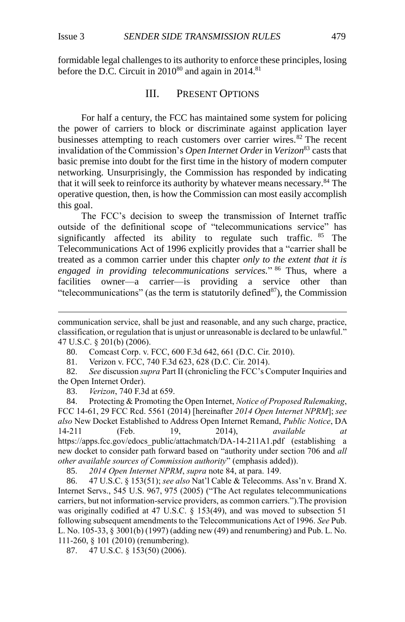$\overline{a}$ 

formidable legal challenges to its authority to enforce these principles, losing before the D.C. Circuit in  $2010^{80}$  and again in  $2014$ .<sup>81</sup>

#### <span id="page-12-1"></span>III. PRESENT OPTIONS

<span id="page-12-0"></span>For half a century, the FCC has maintained some system for policing the power of carriers to block or discriminate against application layer businesses attempting to reach customers over carrier wires.<sup>82</sup> The recent invalidation of the Commission's *Open Internet Order* in *Verizon*<sup>83</sup> casts that basic premise into doubt for the first time in the history of modern computer networking. Unsurprisingly, the Commission has responded by indicating that it will seek to reinforce its authority by whatever means necessary.<sup>84</sup> The operative question, then, is how the Commission can most easily accomplish this goal.

The FCC's decision to sweep the transmission of Internet traffic outside of the definitional scope of "telecommunications service" has significantly affected its ability to regulate such traffic.  $85$  The Telecommunications Act of 1996 explicitly provides that a "carrier shall be treated as a common carrier under this chapter *only to the extent that it is engaged in providing telecommunications services.*" <sup>86</sup> Thus, where a facilities owner—a carrier—is providing a service other than "telecommunications" (as the term is statutorily defined $87$ ), the Commission

80. Comcast Corp. v. FCC, 600 F.3d 642, 661 (D.C. Cir. 2010).

81. Verizon v. FCC, 740 F.3d 623, 628 (D.C. Cir. 2014).

82. *See* discussion *supra* Part II (chronicling the FCC's Computer Inquiries and the Open Internet Order).

83. *Verizon*, 740 F.3d at 659.

84. Protecting & Promoting the Open Internet, *Notice of Proposed Rulemaking*, FCC 14-61, 29 FCC Rcd. 5561 (2014) [hereinafter *2014 Open Internet NPRM*]; *see also* New Docket Established to Address Open Internet Remand, *Public Notice*, DA 14-211 (Feb. 19, 2014), *available at* https://apps.fcc.gov/edocs\_public/attachmatch/DA-14-211A1.pdf (establishing a new docket to consider path forward based on "authority under section 706 and *all other available sources of Commission authority*" (emphasis added)).

85. *2014 Open Internet NPRM*, *supra* note [84,](#page-12-1) at para. 149.

86. 47 U.S.C. § 153(51); *see also* Nat'l Cable & Telecomms. Ass'n v. Brand X. Internet Servs., 545 U.S. 967, 975 (2005) ("The Act regulates telecommunications carriers, but not information-service providers, as common carriers.").The provision was originally codified at 47 U.S.C. § 153(49), and was moved to subsection 51 following subsequent amendments to the Telecommunications Act of 1996. *See* Pub. L. No. 105-33, § 3001(b) (1997) (adding new (49) and renumbering) and Pub. L. No. 111-260, § 101 (2010) (renumbering).

87. 47 U.S.C. § 153(50) (2006).

communication service, shall be just and reasonable, and any such charge, practice, classification, or regulation that is unjust or unreasonable is declared to be unlawful." 47 U.S.C. § 201(b) (2006).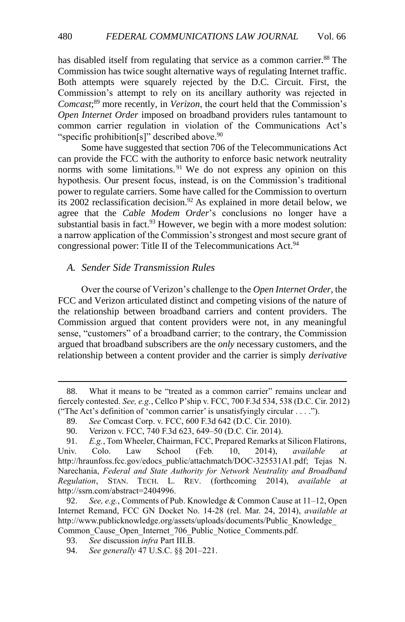has disabled itself from regulating that service as a common carrier.<sup>88</sup> The Commission has twice sought alternative ways of regulating Internet traffic. Both attempts were squarely rejected by the D.C. Circuit. First, the Commission's attempt to rely on its ancillary authority was rejected in *Comcast*; <sup>89</sup> more recently, in *Verizon*, the court held that the Commission's *Open Internet Order* imposed on broadband providers rules tantamount to common carrier regulation in violation of the Communications Act's "specific prohibition[s]" described above.<sup>90</sup>

<span id="page-13-1"></span>Some have suggested that section 706 of the Telecommunications Act can provide the FCC with the authority to enforce basic network neutrality norms with some limitations.<sup>91</sup> We do not express any opinion on this hypothesis. Our present focus, instead, is on the Commission's traditional power to regulate carriers. Some have called for the Commission to overturn its 2002 reclassification decision.<sup>92</sup> As explained in more detail below, we agree that the *Cable Modem Order*'s conclusions no longer have a substantial basis in fact. $93$  However, we begin with a more modest solution: a narrow application of the Commission's strongest and most secure grant of congressional power: Title II of the Telecommunications Act.<sup>94</sup>

#### <span id="page-13-0"></span>*A. Sender Side Transmission Rules*

Over the course of Verizon's challenge to the *Open Internet Order*, the FCC and Verizon articulated distinct and competing visions of the nature of the relationship between broadband carriers and content providers. The Commission argued that content providers were not, in any meaningful sense, "customers" of a broadband carrier; to the contrary, the Commission argued that broadband subscribers are the *only* necessary customers, and the relationship between a content provider and the carrier is simply *derivative*

<sup>88.</sup> What it means to be "treated as a common carrier" remains unclear and fiercely contested. *See, e.g.*, Cellco P'ship v. FCC, 700 F.3d 534, 538 (D.C. Cir. 2012) ("The Act's definition of 'common carrier' is unsatisfyingly circular . . . .").

<sup>89.</sup> *See* Comcast Corp. v. FCC, 600 F.3d 642 (D.C. Cir. 2010).

<sup>90.</sup> Verizon v. FCC, 740 F.3d 623, 649–50 (D.C. Cir. 2014).

<sup>91.</sup> *E.g.*, Tom Wheeler, Chairman, FCC, Prepared Remarks at Silicon Flatirons, Univ. Colo. Law School (Feb. 10, 2014), *available at*  [http://hraunfoss.fcc.gov/edocs\\_public/attachmatch/DOC-325531A1.pdf;](http://hraunfoss.fcc.gov/edocs_public/attachmatch/DOC-325531A1.pdf) Tejas N. Narechania, *Federal and State Authority for Network Neutrality and Broadband Regulation*, STAN. TECH. L. REV. (forthcoming 2014), *available at* http://ssrn.com/abstract=2404996.

<sup>92.</sup> *See, e.g.*, Comments of Pub. Knowledge & Common Cause at 11–12, Open Internet Remand, FCC GN Docket No. 14-28 (rel. Mar. 24, 2014), *available at*  http://www.publicknowledge.org/assets/uploads/documents/Public\_Knowledge\_ Common\_Cause\_Open\_Internet\_706\_Public\_Notice\_Comments.pdf.

<sup>93.</sup> *See* discussion *infra* Part III.B.

<sup>94.</sup> *See generally* 47 U.S.C. §§ 201–221.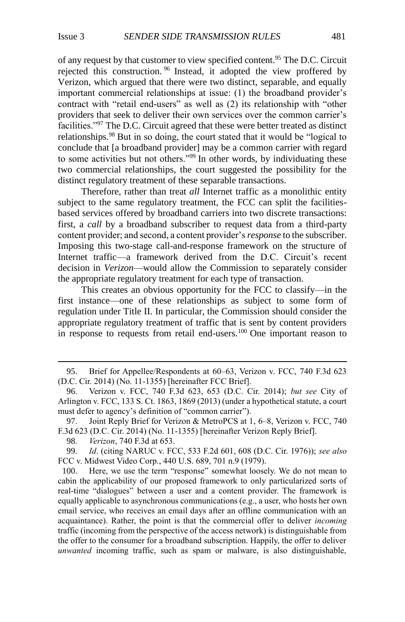of any request by that customer to view specified content.<sup>95</sup> The D.C. Circuit rejected this construction. <sup>96</sup> Instead, it adopted the view proffered by Verizon, which argued that there were two distinct, separable, and equally important commercial relationships at issue: (1) the broadband provider's contract with "retail end-users" as well as (2) its relationship with "other providers that seek to deliver their own services over the common carrier's facilities."<sup>97</sup> The D.C. Circuit agreed that these were better treated as distinct relationships.<sup>98</sup> But in so doing, the court stated that it would be "logical to conclude that [a broadband provider] may be a common carrier with regard to some activities but not others."<sup>99</sup> In other words, by individuating these two commercial relationships, the court suggested the possibility for the distinct regulatory treatment of these separable transactions.

<span id="page-14-0"></span>Therefore, rather than treat *all* Internet traffic as a monolithic entity subject to the same regulatory treatment, the FCC can split the facilitiesbased services offered by broadband carriers into two discrete transactions: first, a *call* by a broadband subscriber to request data from a third-party content provider; and second, a content provider's *response* to the subscriber. Imposing this two-stage call-and-response framework on the structure of Internet traffic—a framework derived from the D.C. Circuit's recent decision in *Verizon*—would allow the Commission to separately consider the appropriate regulatory treatment for each type of transaction.

This creates an obvious opportunity for the FCC to classify—in the first instance—one of these relationships as subject to some form of regulation under Title II. In particular, the Commission should consider the appropriate regulatory treatment of traffic that is sent by content providers in response to requests from retail end-users.<sup>100</sup> One important reason to

<sup>95.</sup> Brief for Appellee/Respondents at 60–63, Verizon v. FCC, 740 F.3d 623 (D.C. Cir. 2014) (No. 11-1355) [hereinafter FCC Brief].

<sup>96.</sup> Verizon v. FCC, 740 F.3d 623, 653 (D.C. Cir. 2014); *but see* City of Arlington v. FCC, 133 S. Ct. 1863, 1869 (2013) (under a hypothetical statute, a court must defer to agency's definition of "common carrier").

<sup>97.</sup> Joint Reply Brief for Verizon & MetroPCS at 1, 6–8, Verizon v. FCC, 740 F.3d 623 (D.C. Cir. 2014) (No. 11-1355) [hereinafter Verizon Reply Brief].

<sup>98.</sup> *Verizon*, 740 F.3d at 653.

<sup>99.</sup> *Id*. (citing NARUC v. FCC, 533 F.2d 601, 608 (D.C. Cir. 1976)); *see also* FCC v. Midwest Video Corp., 440 U.S. 689, 701 n.9 (1979).

<sup>100.</sup> Here, we use the term "response" somewhat loosely. We do not mean to cabin the applicability of our proposed framework to only particularized sorts of real-time "dialogues" between a user and a content provider. The framework is equally applicable to asynchronous communications (e.g., a user, who hosts her own email service, who receives an email days after an offline communication with an acquaintance). Rather, the point is that the commercial offer to deliver *incoming* traffic (incoming from the perspective of the access network) is distinguishable from the offer to the consumer for a broadband subscription. Happily, the offer to deliver *unwanted* incoming traffic, such as spam or malware, is also distinguishable,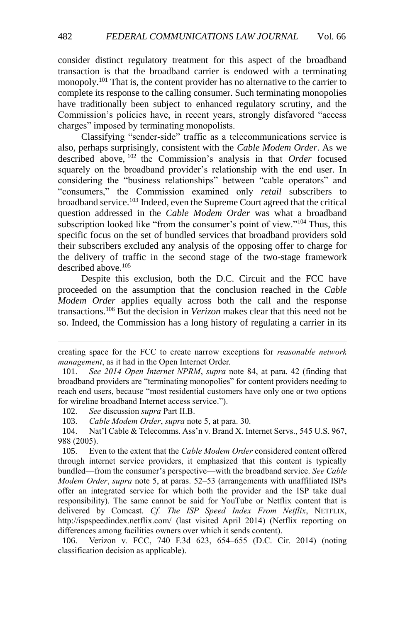consider distinct regulatory treatment for this aspect of the broadband transaction is that the broadband carrier is endowed with a terminating monopoly.<sup>101</sup> That is, the content provider has no alternative to the carrier to complete its response to the calling consumer. Such terminating monopolies have traditionally been subject to enhanced regulatory scrutiny, and the Commission's policies have, in recent years, strongly disfavored "access charges" imposed by terminating monopolists.

Classifying "sender-side" traffic as a telecommunications service is also, perhaps surprisingly, consistent with the *Cable Modem Order*. As we described above, <sup>102</sup> the Commission's analysis in that *Order* focused squarely on the broadband provider's relationship with the end user. In considering the "business relationships" between "cable operators" and "consumers," the Commission examined only *retail* subscribers to broadband service.<sup>103</sup> Indeed, even the Supreme Court agreed that the critical question addressed in the *Cable Modem Order* was what a broadband subscription looked like "from the consumer's point of view."<sup>104</sup> Thus, this specific focus on the set of bundled services that broadband providers sold their subscribers excluded any analysis of the opposing offer to charge for the delivery of traffic in the second stage of the two-stage framework described above  $105$ 

Despite this exclusion, both the D.C. Circuit and the FCC have proceeded on the assumption that the conclusion reached in the *Cable Modem Order* applies equally across both the call and the response transactions.<sup>106</sup> But the decision in *Verizon* makes clear that this need not be so. Indeed, the Commission has a long history of regulating a carrier in its

102. *See* discussion *supra* Part II.B.

103. *Cable Modem Order*, *supra* note [5,](#page-2-0) at para. 30.

104. Nat'l Cable & Telecomms. Ass'n v. Brand X. Internet Servs., 545 U.S. 967, 988 (2005).

105. Even to the extent that the *Cable Modem Order* considered content offered through internet service providers, it emphasized that this content is typically bundled—from the consumer's perspective—with the broadband service. *See Cable Modem Order*, *supra* note [5,](#page-2-0) at paras. 52–53 (arrangements with unaffiliated ISPs offer an integrated service for which both the provider and the ISP take dual responsibility). The same cannot be said for YouTube or Netflix content that is delivered by Comcast. *Cf. The ISP Speed Index From Netflix*, NETFLIX, http://ispspeedindex.netflix.com/ (last visited April 2014) (Netflix reporting on differences among facilities owners over which it sends content).

106. Verizon v. FCC, 740 F.3d 623, 654–655 (D.C. Cir. 2014) (noting classification decision as applicable).

creating space for the FCC to create narrow exceptions for *reasonable network management*, as it had in the Open Internet Order.

<sup>101.</sup> *See 2014 Open Internet NPRM*, *supra* note [84,](#page-12-1) at para. 42 (finding that broadband providers are "terminating monopolies" for content providers needing to reach end users, because "most residential customers have only one or two options for wireline broadband Internet access service.").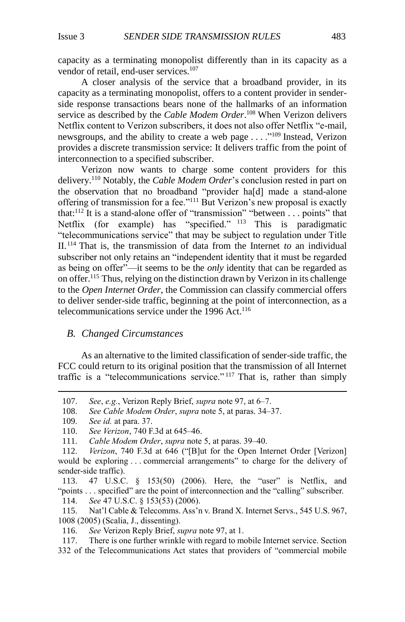capacity as a terminating monopolist differently than in its capacity as a vendor of retail, end-user services.<sup>107</sup>

A closer analysis of the service that a broadband provider, in its capacity as a terminating monopolist, offers to a content provider in senderside response transactions bears none of the hallmarks of an information service as described by the *Cable Modem Order*. <sup>108</sup> When Verizon delivers Netflix content to Verizon subscribers, it does not also offer Netflix "e-mail, newsgroups, and the ability to create a web page . . . . "<sup>109</sup> Instead, Verizon provides a discrete transmission service: It delivers traffic from the point of interconnection to a specified subscriber.

Verizon now wants to charge some content providers for this delivery.<sup>110</sup> Notably, the *Cable Modem Order*'s conclusion rested in part on the observation that no broadband "provider ha[d] made a stand-alone offering of transmission for a fee."<sup>111</sup> But Verizon's new proposal is exactly that: $^{112}$  It is a stand-alone offer of "transmission" "between ... points" that Netflix (for example) has "specified." <sup>113</sup> This is paradigmatic "telecommunications service" that may be subject to regulation under Title II.<sup>114</sup> That is, the transmission of data from the Internet *to* an individual subscriber not only retains an "independent identity that it must be regarded as being on offer"—it seems to be the *only* identity that can be regarded as on offer.<sup>115</sup> Thus, relying on the distinction drawn by Verizon in its challenge to the *Open Internet Order*, the Commission can classify commercial offers to deliver sender-side traffic, beginning at the point of interconnection, as a telecommunications service under the 1996 Act.<sup>116</sup>

#### <span id="page-16-0"></span>*B. Changed Circumstances*

As an alternative to the limited classification of sender-side traffic, the FCC could return to its original position that the transmission of all Internet traffic is a "telecommunications service." <sup>117</sup> That is, rather than simply

<sup>107.</sup> *See*, *e.g.*, Verizon Reply Brief, *supra* note 97, at 6–7.

<sup>108.</sup> *See Cable Modem Order*, *supra* note [5,](#page-2-0) at paras. 34–37.

<sup>109.</sup> *See id.* at para. 37.

<sup>110.</sup> *See Verizon*, 740 F.3d at 645–46.

<sup>111.</sup> *Cable Modem Order*, *supra* note [5,](#page-2-0) at paras. 39–40.

<sup>112.</sup> *Verizon*, 740 F.3d at 646 ("[B]ut for the Open Internet Order [Verizon] would be exploring . . . commercial arrangements" to charge for the delivery of sender-side traffic).

<sup>113.</sup> 47 U.S.C. § 153(50) (2006). Here, the "user" is Netflix, and "points . . . specified" are the point of interconnection and the "calling" subscriber. 114. *See* 47 U.S.C. § 153(53) (2006).

<sup>115.</sup> Nat'l Cable & Telecomms. Ass'n v. Brand X. Internet Servs., 545 U.S. 967, 1008 (2005) (Scalia, J., dissenting).

<sup>116.</sup> *See* Verizon Reply Brief, *supra* note [97,](#page-14-0) at 1.

<sup>117.</sup> There is one further wrinkle with regard to mobile Internet service. Section

<sup>332</sup> of the Telecommunications Act states that providers of "commercial mobile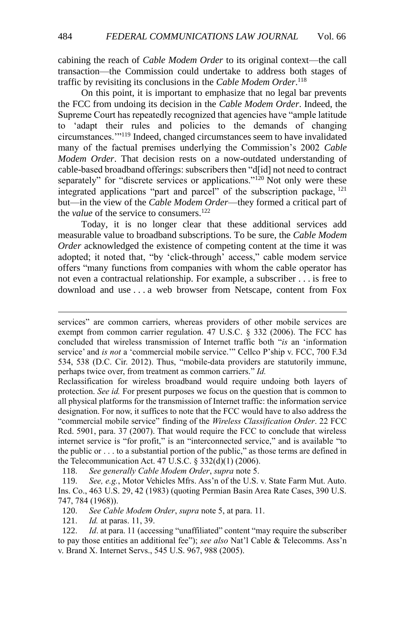cabining the reach of *Cable Modem Order* to its original context—the call transaction—the Commission could undertake to address both stages of traffic by revisiting its conclusions in the *Cable Modem Order*. 118

On this point, it is important to emphasize that no legal bar prevents the FCC from undoing its decision in the *Cable Modem Order*. Indeed, the Supreme Court has repeatedly recognized that agencies have "ample latitude to 'adapt their rules and policies to the demands of changing circumstances.'"<sup>119</sup> Indeed, changed circumstances seem to have invalidated many of the factual premises underlying the Commission's 2002 *Cable Modem Order*. That decision rests on a now-outdated understanding of cable-based broadband offerings: subscribers then "d[id] not need to contract separately" for "discrete services or applications."<sup>120</sup> Not only were these integrated applications "part and parcel" of the subscription package, <sup>121</sup> but—in the view of the *Cable Modem Order*—they formed a critical part of the *value* of the service to consumers.<sup>122</sup>

Today, it is no longer clear that these additional services add measurable value to broadband subscriptions. To be sure, the *Cable Modem Order* acknowledged the existence of competing content at the time it was adopted; it noted that, "by 'click-through' access," cable modem service offers "many functions from companies with whom the cable operator has not even a contractual relationship. For example, a subscriber . . . is free to download and use . . . a web browser from Netscape, content from Fox

Reclassification for wireless broadband would require undoing both layers of protection. *See id.* For present purposes we focus on the question that is common to all physical platforms for the transmission of Internet traffic: the information service designation. For now, it suffices to note that the FCC would have to also address the "commercial mobile service" finding of the *Wireless Classification Order*. 22 FCC Rcd. 5901, para. 37 (2007). That would require the FCC to conclude that wireless internet service is "for profit," is an "interconnected service," and is available "to the public or . . . to a substantial portion of the public," as those terms are defined in the Telecommunication Act. 47 U.S.C.  $\S 332(d)(1) (2006)$ .

118. *See generally Cable Modem Order*, *supra* not[e 5.](#page-2-0)

119. *See, e.g.*, Motor Vehicles Mfrs. Ass'n of the U.S. v. State Farm Mut. Auto. Ins. Co., 463 U.S. 29, 42 (1983) (quoting Permian Basin Area Rate Cases, 390 U.S. 747, 784 (1968)).

120. *See Cable Modem Order*, *supra* note [5,](#page-2-0) at para. 11.

121. *Id.* at paras. 11, 39.

122. *Id*. at para. 11 (accessing "unaffiliated" content "may require the subscriber to pay those entities an additional fee"); *see also* Nat'l Cable & Telecomms. Ass'n v. Brand X. Internet Servs., 545 U.S. 967, 988 (2005).

services" are common carriers, whereas providers of other mobile services are exempt from common carrier regulation. 47 U.S.C. § 332 (2006). The FCC has concluded that wireless transmission of Internet traffic both "*is* an 'information service' and *is not* a 'commercial mobile service.'" Cellco P'ship v. FCC, 700 F.3d 534, 538 (D.C. Cir. 2012). Thus, "mobile-data providers are statutorily immune, perhaps twice over, from treatment as common carriers." *Id.*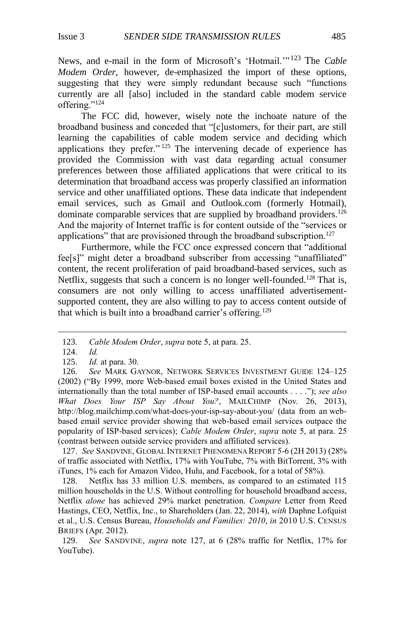News, and e-mail in the form of Microsoft's 'Hotmail.'" <sup>123</sup> The *Cable Modem Order*, however, de-emphasized the import of these options, suggesting that they were simply redundant because such "functions currently are all [also] included in the standard cable modem service offering."<sup>124</sup>

The FCC did, however, wisely note the inchoate nature of the broadband business and conceded that "[c]ustomers, for their part, are still learning the capabilities of cable modem service and deciding which applications they prefer." <sup>125</sup> The intervening decade of experience has provided the Commission with vast data regarding actual consumer preferences between those affiliated applications that were critical to its determination that broadband access was properly classified an information service and other unaffiliated options. These data indicate that independent email services, such as Gmail and Outlook.com (formerly Hotmail), dominate comparable services that are supplied by broadband providers.<sup>126</sup> And the majority of Internet traffic is for content outside of the "services or applications" that are provisioned through the broadband subscription.<sup>127</sup>

Furthermore, while the FCC once expressed concern that "additional fee[s]" might deter a broadband subscriber from accessing "unaffiliated" content, the recent proliferation of paid broadband-based services, such as Netflix, suggests that such a concern is no longer well-founded.<sup>128</sup> That is, consumers are not only willing to access unaffiliated advertisementsupported content, they are also willing to pay to access content outside of that which is built into a broadband carrier's offering.<sup>129</sup>

 $\overline{a}$ 

127. *See* SANDVINE, GLOBAL INTERNET PHENOMENA REPORT 5-6 (2H 2013) (28% of traffic associated with Netflix, 17% with YouTube, 7% with BitTorrent, 3% with iTunes, 1% each for Amazon Video, Hulu, and Facebook, for a total of 58%).

128. Netflix has 33 million U.S. members, as compared to an estimated 115 million households in the U.S. Without controlling for household broadband access, Netflix *alone* has achieved 29% market penetration. *Compare* Letter from Reed Hastings, CEO, Netflix, Inc., to Shareholders (Jan. 22, 2014), *with* Daphne Lofquist et al., U.S. Census Bureau, *Households and Families: 2010*, *in* 2010 U.S. CENSUS BRIEFS (Apr. 2012).

129. *See* SANDVINE, *supra* note 127, at 6 (28% traffic for Netflix, 17% for YouTube).

<sup>123.</sup> *Cable Modem Order*, *supra* note [5,](#page-2-0) at para. 25.

<sup>124.</sup> *Id.* 

<sup>125.</sup> *Id.* at para. 30.

<sup>126.</sup> *See* MARK GAYNOR, NETWORK SERVICES INVESTMENT GUIDE 124–125 (2002) ("By 1999, more Web-based email boxes existed in the United States and internationally than the total number of ISP-based email accounts . . . ."); *see also What Does Your ISP Say About You?*, MAILCHIMP (Nov. 26, 2013), http://blog.mailchimp.com/what-does-your-isp-say-about-you/ (data from an webbased email service provider showing that web-based email services outpace the popularity of ISP-based services); *Cable Modem Order*, *supra* note [5,](#page-2-0) at para. 25 (contrast between outside service providers and affiliated services).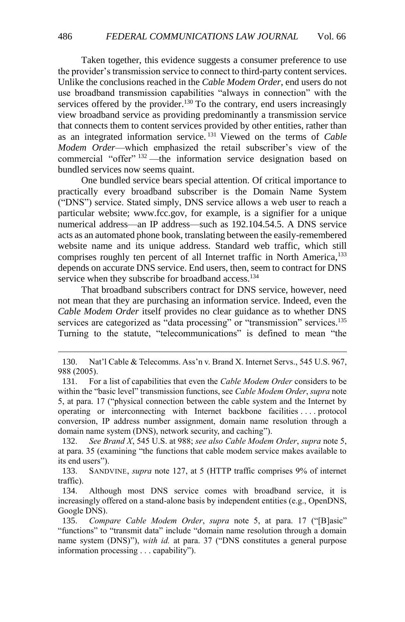Taken together, this evidence suggests a consumer preference to use the provider's transmission service to connect to third-party content services. Unlike the conclusions reached in the *Cable Modem Order*, end users do not use broadband transmission capabilities "always in connection" with the services offered by the provider.<sup>130</sup> To the contrary, end users increasingly view broadband service as providing predominantly a transmission service that connects them to content services provided by other entities, rather than as an integrated information service. <sup>131</sup> Viewed on the terms of *Cable Modem Order*—which emphasized the retail subscriber's view of the commercial "offer" <sup>132</sup> —the information service designation based on bundled services now seems quaint.

One bundled service bears special attention. Of critical importance to practically every broadband subscriber is the Domain Name System ("DNS") service. Stated simply, DNS service allows a web user to reach a particular website; www.fcc.gov, for example, is a signifier for a unique numerical address—an IP address—such as 192.104.54.5. A DNS service acts as an automated phone book, translating between the easily-remembered website name and its unique address. Standard web traffic, which still comprises roughly ten percent of all Internet traffic in North America,<sup>133</sup> depends on accurate DNS service. End users, then, seem to contract for DNS service when they subscribe for broadband access.<sup>134</sup>

That broadband subscribers contract for DNS service, however, need not mean that they are purchasing an information service. Indeed, even the *Cable Modem Order* itself provides no clear guidance as to whether DNS services are categorized as "data processing" or "transmission" services.<sup>135</sup> Turning to the statute, "telecommunications" is defined to mean "the

<sup>130.</sup> Nat'l Cable & Telecomms. Ass'n v. Brand X. Internet Servs., 545 U.S. 967, 988 (2005).

<sup>131.</sup> For a list of capabilities that even the *Cable Modem Order* considers to be within the "basic level" transmission functions, see *Cable Modem Order*, *supra* note [5,](#page-2-0) at para. 17 ("physical connection between the cable system and the Internet by operating or interconnecting with Internet backbone facilities . . . . protocol conversion, IP address number assignment, domain name resolution through a domain name system (DNS), network security, and caching").

<sup>132.</sup> *See Brand X*, 545 U.S. at 988; *see also Cable Modem Order*, *supra* not[e 5,](#page-2-0) at para. 35 (examining "the functions that cable modem service makes available to its end users").

<sup>133.</sup> SANDVINE, *supra* note 127, at 5 (HTTP traffic comprises 9% of internet traffic).

<sup>134.</sup> Although most DNS service comes with broadband service, it is increasingly offered on a stand-alone basis by independent entities (e.g., OpenDNS, Google DNS).

<sup>135.</sup> *Compare Cable Modem Order*, *supra* note [5,](#page-2-0) at para. 17 ("[B]asic" "functions" to "transmit data" include "domain name resolution through a domain name system (DNS)"), *with id.* at para. 37 ("DNS constitutes a general purpose information processing . . . capability").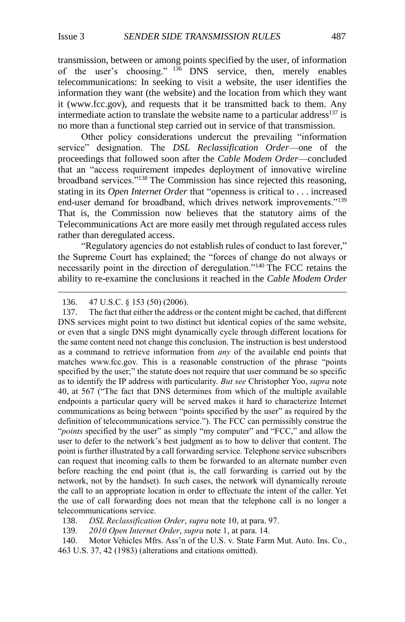transmission, between or among points specified by the user, of information of the user's choosing."  $^{136}$  DNS service, then, merely enables telecommunications: In seeking to visit a website, the user identifies the information they want (the website) and the location from which they want it (www.fcc.gov), and requests that it be transmitted back to them. Any intermediate action to translate the website name to a particular address<sup>137</sup> is no more than a functional step carried out in service of that transmission.

Other policy considerations undercut the prevailing "information service" designation. The *DSL Reclassification Order*—one of the proceedings that followed soon after the *Cable Modem Order*—concluded that an "access requirement impedes deployment of innovative wireline broadband services."<sup>138</sup> The Commission has since rejected this reasoning, stating in its *Open Internet Order* that "openness is critical to . . . increased end-user demand for broadband, which drives network improvements."<sup>139</sup> That is, the Commission now believes that the statutory aims of the Telecommunications Act are more easily met through regulated access rules rather than deregulated access.

"Regulatory agencies do not establish rules of conduct to last forever," the Supreme Court has explained; the "forces of change do not always or necessarily point in the direction of deregulation."<sup>140</sup> The FCC retains the ability to re-examine the conclusions it reached in the *Cable Modem Order*

 $\overline{a}$ 

137. The fact that either the address or the content might be cached, that different DNS services might point to two distinct but identical copies of the same website, or even that a single DNS might dynamically cycle through different locations for the same content need not change this conclusion. The instruction is best understood as a command to retrieve information from *any* of the available end points that matches www.fcc.gov. This is a reasonable construction of the phrase "points specified by the user;" the statute does not require that user command be so specific as to identify the IP address with particularity. *But see* Christopher Yoo, *supra* note [40,](#page-6-3) at 567 ("The fact that DNS determines from which of the multiple available endpoints a particular query will be served makes it hard to characterize Internet communications as being between "points specified by the user" as required by the definition of telecommunications service."). The FCC can permissibly construe the "*points* specified by the user" as simply "my computer" and "FCC," and allow the user to defer to the network's best judgment as to how to deliver that content. The point is further illustrated by a call forwarding service. Telephone service subscribers can request that incoming calls to them be forwarded to an alternate number even before reaching the end point (that is, the call forwarding is carried out by the network, not by the handset). In such cases, the network will dynamically reroute the call to an appropriate location in order to effectuate the intent of the caller. Yet the use of call forwarding does not mean that the telephone call is no longer a telecommunications service.

138. *DSL Reclassification Order*, *supra* not[e 10,](#page-3-3) at para. 97.

139. *2010 Open Internet Order*, *supra* note [1,](#page-1-1) at para. 14.

140. Motor Vehicles Mfrs. Ass'n of the U.S. v. State Farm Mut. Auto. Ins. Co., 463 U.S. 37, 42 (1983) (alterations and citations omitted).

<sup>136.</sup> 47 U.S.C. § 153 (50) (2006).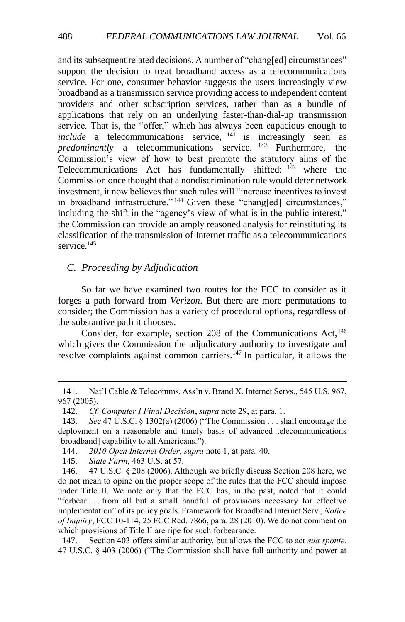and its subsequent related decisions. A number of "chang[ed] circumstances" support the decision to treat broadband access as a telecommunications service. For one, consumer behavior suggests the users increasingly view broadband as a transmission service providing access to independent content providers and other subscription services, rather than as a bundle of applications that rely on an underlying faster-than-dial-up transmission service. That is, the "offer," which has always been capacious enough to  $include \text{a}$  telecommunications service,  $14\overline{1}$  is increasingly seen as *predominantly* a telecommunications service. <sup>142</sup> Furthermore, the Commission's view of how to best promote the statutory aims of the Telecommunications Act has fundamentally shifted: <sup>143</sup> where the Commission once thought that a nondiscrimination rule would deter network investment, it now believes that such rules will "increase incentives to invest in broadband infrastructure."<sup>144</sup> Given these "chang[ed] circumstances," including the shift in the "agency's view of what is in the public interest," the Commission can provide an amply reasoned analysis for reinstituting its classification of the transmission of Internet traffic as a telecommunications service.<sup>145</sup>

#### <span id="page-21-0"></span>*C. Proceeding by Adjudication*

So far we have examined two routes for the FCC to consider as it forges a path forward from *Verizon*. But there are more permutations to consider; the Commission has a variety of procedural options, regardless of the substantive path it chooses.

Consider, for example, section 208 of the Communications Act, <sup>146</sup> which gives the Commission the adjudicatory authority to investigate and resolve complaints against common carriers.<sup>147</sup> In particular, it allows the

147. Section 403 offers similar authority, but allows the FCC to act *sua sponte*. 47 U.S.C. § 403 (2006) ("The Commission shall have full authority and power at

<sup>141.</sup> Nat'l Cable & Telecomms. Ass'n v. Brand X. Internet Servs., 545 U.S. 967, 967 (2005).

<sup>142.</sup> *Cf. Computer I Final Decision*, *supra* not[e 29,](#page-5-1) at para. 1.

<sup>143.</sup> *See* 47 U.S.C. § 1302(a) (2006) ("The Commission . . . shall encourage the deployment on a reasonable and timely basis of advanced telecommunications [broadband] capability to all Americans.").

<sup>144.</sup> *2010 Open Internet Order*, *supra* note [1,](#page-1-1) at para. 40.

<sup>145.</sup> *State Farm*, 463 U.S. at 57.

<sup>146.</sup> 47 U.S.C. § 208 (2006). Although we briefly discuss Section 208 here, we do not mean to opine on the proper scope of the rules that the FCC should impose under Title II. We note only that the FCC has, in the past, noted that it could "forbear . . . from all but a small handful of provisions necessary for effective implementation" of its policy goals. Framework for Broadband Internet Serv., *Notice of Inquiry*, FCC 10-114, 25 FCC Rcd. 7866, para. 28 (2010). We do not comment on which provisions of Title II are ripe for such forbearance.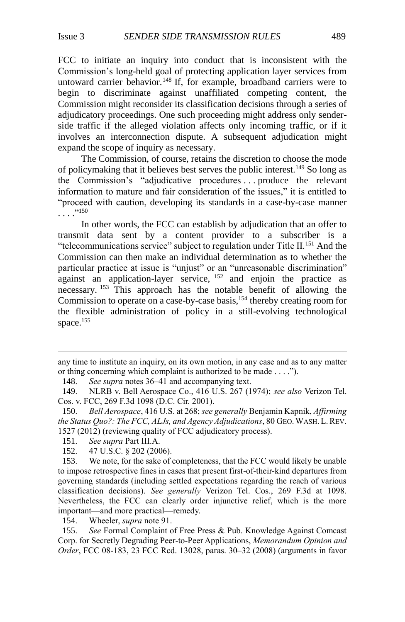FCC to initiate an inquiry into conduct that is inconsistent with the Commission's long-held goal of protecting application layer services from untoward carrier behavior.<sup>148</sup> If, for example, broadband carriers were to begin to discriminate against unaffiliated competing content, the Commission might reconsider its classification decisions through a series of adjudicatory proceedings. One such proceeding might address only senderside traffic if the alleged violation affects only incoming traffic, or if it involves an interconnection dispute. A subsequent adjudication might expand the scope of inquiry as necessary.

The Commission, of course, retains the discretion to choose the mode of policymaking that it believes best serves the public interest.<sup>149</sup> So long as the Commission's "adjudicative procedures . . . produce the relevant information to mature and fair consideration of the issues," it is entitled to "proceed with caution, developing its standards in a case-by-case manner . . . ."<sup>150</sup>

In other words, the FCC can establish by adjudication that an offer to transmit data sent by a content provider to a subscriber is a "telecommunications service" subject to regulation under Title II.<sup>151</sup> And the Commission can then make an individual determination as to whether the particular practice at issue is "unjust" or an "unreasonable discrimination"  $a$ gainst an application-layer service,  $152$  and enjoin the practice as necessary. <sup>153</sup> This approach has the notable benefit of allowing the Commission to operate on a case-by-case basis,<sup>154</sup> thereby creating room for the flexible administration of policy in a still-evolving technological space.<sup>155</sup>

148. *See supra* notes [36](#page-6-1)[–41](#page-6-2) and accompanying text.

 $\overline{a}$ 

154. Wheeler, *supra* note [91.](#page-13-1)

155. *See* Formal Complaint of Free Press & Pub. Knowledge Against Comcast Corp. for Secretly Degrading Peer-to-Peer Applications, *Memorandum Opinion and Order*, FCC 08-183, 23 FCC Rcd. 13028, paras. 30–32 (2008) (arguments in favor

any time to institute an inquiry, on its own motion, in any case and as to any matter or thing concerning which complaint is authorized to be made . . . .").

<sup>149.</sup> NLRB v. Bell Aerospace Co., 416 U.S. 267 (1974); *see also* Verizon Tel. Cos. v. FCC, 269 F.3d 1098 (D.C. Cir. 2001).

<sup>150.</sup> *Bell Aerospace*, 416 U.S. at 268; *see generally* Benjamin Kapnik, *Affirming the Status Quo?: The FCC, ALJs, and Agency Adjudications*, 80 GEO.WASH. L.REV. 1527 (2012) (reviewing quality of FCC adjudicatory process).

<sup>151.</sup> *See supra* Part III.A.

<sup>152.</sup> 47 U.S.C. § 202 (2006).

<sup>153.</sup> We note, for the sake of completeness, that the FCC would likely be unable to impose retrospective fines in cases that present first-of-their-kind departures from governing standards (including settled expectations regarding the reach of various classification decisions). *See generally* Verizon Tel. Cos*.*, 269 F.3d at 1098. Nevertheless, the FCC can clearly order injunctive relief, which is the more important—and more practical—remedy.